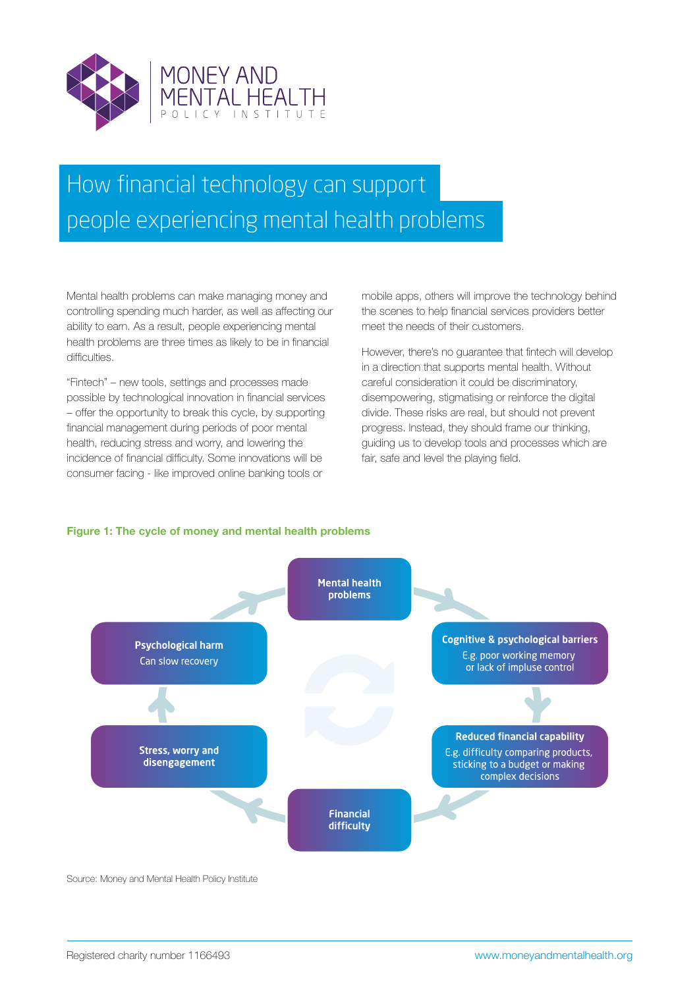

# How financial technology can support people experiencing mental health problems

Mental health problems can make managing money and controlling spending much harder, as well as affecting our ability to earn. As a result, people experiencing mental health problems are three times as likely to be in financial difficulties.

"Fintech" – new tools, settings and processes made possible by technological innovation in financial services – offer the opportunity to break this cycle, by supporting financial management during periods of poor mental health, reducing stress and worry, and lowering the incidence of financial difficulty. Some innovations will be consumer facing - like improved online banking tools or

mobile apps, others will improve the technology behind the scenes to help financial services providers better meet the needs of their customers.

However, there's no guarantee that fintech will develop in a direction that supports mental health. Without careful consideration it could be discriminatory, disempowering, stigmatising or reinforce the digital divide. These risks are real, but should not prevent progress. Instead, they should frame our thinking, guiding us to develop tools and processes which are fair, safe and level the playing field.

# **Figure 1: The cycle of money and mental health problems**